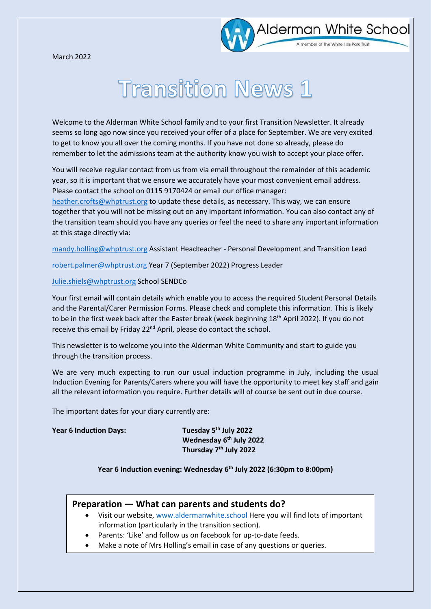March 2022



# **Transition News 1**

Welcome to the Alderman White School family and to your first Transition Newsletter. It already seems so long ago now since you received your offer of a place for September. We are very excited to get to know you all over the coming months. If you have not done so already, please do remember to let the admissions team at the authority know you wish to accept your place offer.

You will receive regular contact from us from via email throughout the remainder of this academic year, so it is important that we ensure we accurately have your most convenient email address. Please contact the school on 0115 9170424 or email our office manager:

[heather.crofts@whptrust.org](mailto:heather.crofts@whptrust.org) to update these details, as necessary. This way, we can ensure together that you will not be missing out on any important information. You can also contact any of the transition team should you have any queries or feel the need to share any important information at this stage directly via:

[mandy.holling@whptrust.org](mailto:mandy.holling@whptrust.org) Assistant Headteacher - Personal Development and Transition Lead

[robert.palmer@whptrust.org](mailto:robert.palmer@whptrust.org) Year 7 (September 2022) Progress Leader

#### [Julie.shiels@whptrust.org](mailto:Julie.shiels@whptrust.org) School SENDCo

Your first email will contain details which enable you to access the required Student Personal Details and the Parental/Carer Permission Forms. Please check and complete this information. This is likely to be in the first week back after the Easter break (week beginning 18<sup>th</sup> April 2022). If you do not receive this email by Friday 22<sup>nd</sup> April, please do contact the school.

This newsletter is to welcome you into the Alderman White Community and start to guide you through the transition process.

We are very much expecting to run our usual induction programme in July, including the usual Induction Evening for Parents/Carers where you will have the opportunity to meet key staff and gain all the relevant information you require. Further details will of course be sent out in due course.

The important dates for your diary currently are:

#### **Year 6 Induction Days:**

Tuesday 5<sup>th</sup> July 2022 **Wednesday 6 th July 2022 Thursday 7 th July 2022**

### **Year 6 Induction evening: Wednesday 6 th July 2022 (6:30pm to 8:00pm)**

## **Preparation — What can parents and students do?**

- Visit our website[, www.aldermanwhite.school](http://www.aldermanwhite.school/) Here you will find lots of important information (particularly in the transition section).
- Parents: 'Like' and follow us on facebook for up-to-date feeds.
- Make a note of Mrs Holling's email in case of any questions or queries.